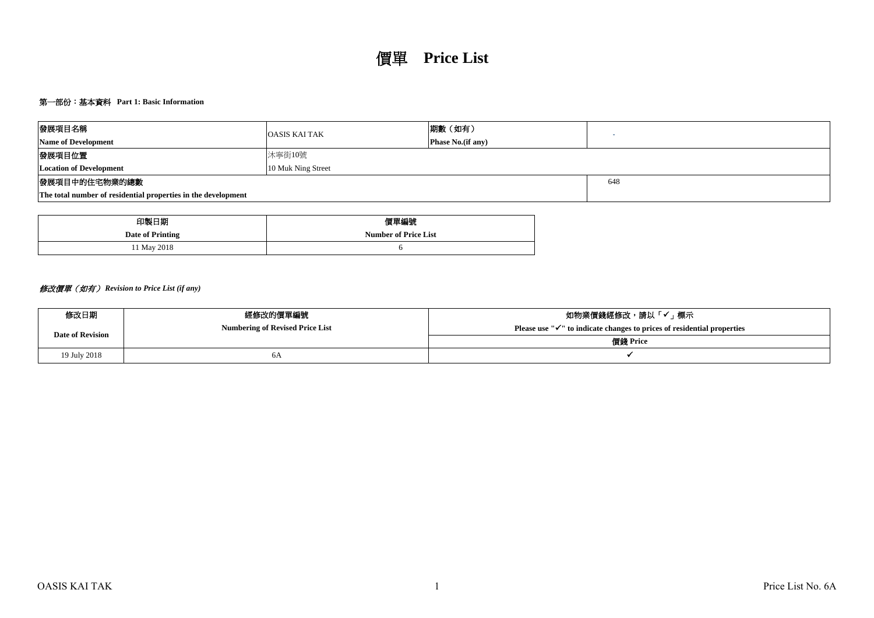# 第一部份:基本資料 **Part 1: Basic Information**

| 發展項目名稱                                                        | <b>OASIS KAI TAK</b> | 期數 (如有)                   |  |  |  |  |  |
|---------------------------------------------------------------|----------------------|---------------------------|--|--|--|--|--|
| <b>Name of Development</b>                                    |                      | <b>Phase No.</b> (if any) |  |  |  |  |  |
| 發展項目位置                                                        |                      |                           |  |  |  |  |  |
| 10 Muk Ning Street<br><b>Location of Development</b>          |                      |                           |  |  |  |  |  |
| 發展項目中的住宅物業的總數<br>648                                          |                      |                           |  |  |  |  |  |
| The total number of residential properties in the development |                      |                           |  |  |  |  |  |

| 印製日期             | 價單編號                        |
|------------------|-----------------------------|
| Date of Printing | <b>Number of Price List</b> |
| 11 May 2018      |                             |

# 修改價單(如有) *Revision to Price List (if any)*

| 修改日期                    | 經修改的價單編號                               | 如物業價錢經修改,請以「✔」標示                                                                    |  |  |  |  |  |
|-------------------------|----------------------------------------|-------------------------------------------------------------------------------------|--|--|--|--|--|
| <b>Date of Revision</b> | <b>Numbering of Revised Price List</b> | Please use " $\checkmark$ " to indicate changes to prices of residential properties |  |  |  |  |  |
|                         |                                        | 價錢 Price                                                                            |  |  |  |  |  |
| 19 July 2018            | 6A                                     |                                                                                     |  |  |  |  |  |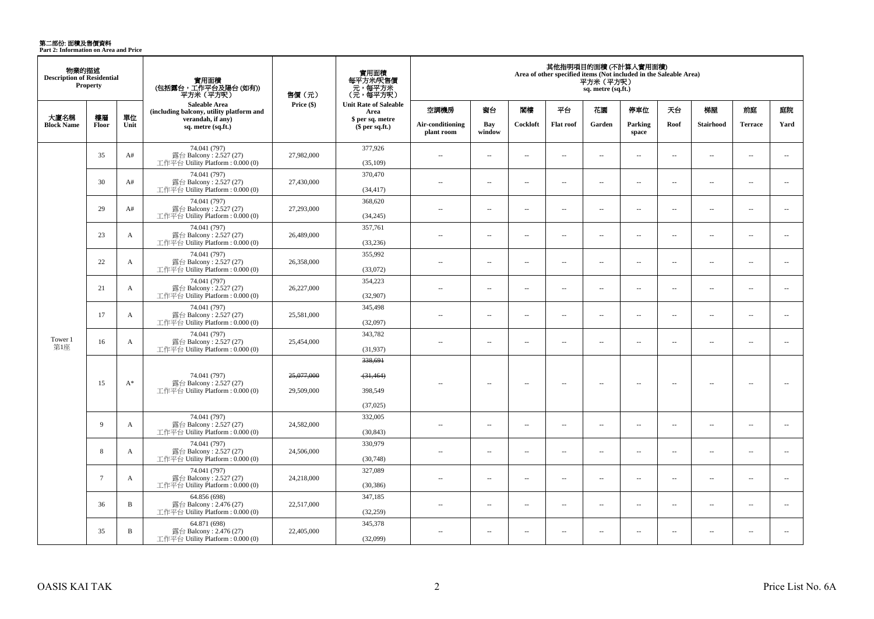第二部份: 面積及售價資料<br>Part 2: Information on Area and Price

| 物業的描述<br><b>Description of Residential</b> | <b>Property</b>                                                                       |              | 實用面積<br>(包括露台,工作平台及陽台 (如有))<br>平方米(平方呎)                                      | 售價 (元)                   | 實用面積<br>每平方米/呎售價<br>- 元, 每平方米<br>(元, 每平方呎)  |                                |                          |                          |                      | 平方米 (平方呎)<br>sq. metre (sq.ft.) | 其他指明項目的面積 (不計算入實用面積)<br>Area of other specified items (Not included in the Saleable Area) |                          |                  |                          |                          |
|--------------------------------------------|---------------------------------------------------------------------------------------|--------------|------------------------------------------------------------------------------|--------------------------|---------------------------------------------|--------------------------------|--------------------------|--------------------------|----------------------|---------------------------------|-------------------------------------------------------------------------------------------|--------------------------|------------------|--------------------------|--------------------------|
|                                            |                                                                                       |              | Saleable Area<br>(including balcony, utility platform and                    | Price (\$)               | <b>Unit Rate of Saleable</b><br>Area        | 空調機房                           | 窗台                       | 閣樓                       | 平台                   | 花園                              | 停車位                                                                                       | 天台                       | 梯屋               | 前庭                       | 庭院                       |
| 大廈名稱<br><b>Block Name</b>                  | 樓層<br>Floor                                                                           | 單位<br>Unit   | verandah, if any)<br>sq. metre (sq.ft.)                                      |                          | \$ per sq. metre<br>\$per sq.ft.)           | Air-conditioning<br>plant room | Bay<br>window            | Cockloft                 | <b>Flat roof</b>     | Garden                          | Parking<br>space                                                                          | Roof                     | <b>Stairhood</b> | <b>Terrace</b>           | Yard                     |
|                                            | 35                                                                                    | A#           | 74.041 (797)<br>露台 Balcony: 2.527 (27)<br>工作平台 Utility Platform: 0.000 (0)   | 27,982,000               | 377,926<br>(35,109)                         | $\sim$                         | $\sim$                   | $\sim$                   | $\sim$               | $\sim$ $\sim$                   | $\sim$                                                                                    | $\sim$                   | $\sim$           | $\overline{a}$           | $\sim$                   |
|                                            | 30                                                                                    | A#           | 74.041 (797)<br>露台 Balcony: 2.527 (27)<br>工作平台 Utility Platform : 0.000 (0)  | 27,430,000               | 370,470<br>(34, 417)                        | $\sim$                         | $\overline{\phantom{a}}$ | $\sim$                   | $\overline{a}$       | $\overline{a}$                  | $\overline{\phantom{a}}$                                                                  | $\sim$                   | $\sim$           | $\overline{\phantom{a}}$ | $\sim$                   |
|                                            | 29                                                                                    | A#           | 74.041 (797)<br>露台 Balcony: 2.527 (27)<br>工作平台 Utility Platform : $0.000(0)$ | 27,293,000               | 368,620<br>(34,245)                         | $\overline{a}$                 | $\overline{\phantom{a}}$ | $\sim$                   | μ.                   | μ.                              | $\overline{\phantom{a}}$                                                                  | $\overline{\phantom{a}}$ | ÷.               | $\overline{\phantom{a}}$ | $\overline{\phantom{a}}$ |
|                                            | 23                                                                                    | A            | 74.041 (797)<br>露台 Balcony: 2.527 (27)<br>工作平台 Utility Platform: 0.000 (0)   | 26,489,000               | 357,761<br>(33, 236)                        | $\overline{a}$                 | ÷.                       | $\sim$                   | $\ldots$             | $\ldots$                        | $\ddot{\phantom{a}}$                                                                      | $\overline{\phantom{a}}$ | $\sim$           | ÷.                       | $\overline{\phantom{a}}$ |
|                                            | 74.041 (797)<br>22<br>露台 Balcony: 2.527 (27)<br>A<br>工作平台 Utility Platform: 0.000 (0) | 26,358,000   | 355,992<br>(33,072)                                                          | $\sim$                   | $\overline{a}$                              | $\sim$                         | $\sim$                   | $\sim$                   | $\sim$               | $\sim$                          | $\sim$                                                                                    | $\overline{a}$           | $\sim$           |                          |                          |
|                                            | 21                                                                                    | $\mathbf{A}$ | 74.041 (797)<br>露台 Balcony: 2.527 (27)<br>工作平台 Utility Platform : 0.000 (0)  | 26,227,000               | 354,223<br>(32,907)                         | ÷.                             | $\sim$                   | $\sim$                   | μ.                   | Ξ.                              | $\sim$                                                                                    | ÷.                       | ÷.               | ÷.                       | $\overline{\phantom{a}}$ |
|                                            | 17                                                                                    | $\mathbf{A}$ | 74.041 (797)<br>露台 Balcony: 2.527 (27)<br>工作平台 Utility Platform: 0.000 (0)   | 25,581,000               | 345,498<br>(32,097)                         | $\overline{a}$                 | ÷.                       | $\overline{\phantom{a}}$ | $\ddot{\phantom{a}}$ | $\sim$                          | $\ddot{\phantom{a}}$                                                                      | $\overline{\phantom{a}}$ | ÷.               | ÷.                       | $\overline{\phantom{a}}$ |
| Tower 1<br>第1座                             | 16                                                                                    | $\mathbf{A}$ | 74.041 (797)<br>露台 Balcony: 2.527 (27)<br>工作平台 Utility Platform: 0.000 (0)   | 25,454,000               | 343,782<br>(31,937)                         | $\overline{a}$                 | $\overline{a}$           | $\sim$                   | $\overline{a}$       | $\sim$                          | $\sim$                                                                                    | $\sim$                   | $\sim$           | $\overline{a}$           | $\sim$                   |
|                                            | 15                                                                                    | $A^*$        | 74.041 (797)<br>露台 Balcony: 2.527 (27)<br>工作平台 Utility Platform: 0.000 (0)   | 25,077,000<br>29,509,000 | 338,691<br>(31, 464)<br>398,549<br>(37,025) |                                | 44                       | ÷.                       | μ.                   |                                 | ÷.                                                                                        | $\overline{\phantom{a}}$ |                  | Ξ.                       |                          |
|                                            | 9                                                                                     | A            | 74.041 (797)<br>露台 Balcony: 2.527 (27)<br>工作平台 Utility Platform : 0.000 (0)  | 24,582,000               | 332,005<br>(30, 843)                        | $\sim$                         | $\overline{\phantom{a}}$ | $\sim$                   | $\sim$               | $\sim$                          | $\overline{\phantom{a}}$                                                                  | $\overline{\phantom{a}}$ | $\sim$           | $\overline{a}$           | $\overline{\phantom{a}}$ |
|                                            | 8                                                                                     | A            | 74.041 (797)<br>露台 Balcony: 2.527 (27)<br>工作平台 Utility Platform: 0.000 (0)   | 24,506,000               | 330,979<br>(30,748)                         | $\overline{a}$                 | $\sim$                   | $\sim$                   | μ.                   | $\sim$                          | $\sim$                                                                                    | $\overline{\phantom{a}}$ | ÷.               | $\sim$                   | $\overline{\phantom{a}}$ |
|                                            | $7\overline{ }$                                                                       | $\mathbf{A}$ | 74.041 (797)<br>露台 Balcony: 2.527 (27)<br>工作平台 Utility Platform : 0.000 (0)  | 24,218,000               | 327,089<br>(30, 386)                        | 44                             | $\sim$                   | $\sim$                   | μ.                   | μ.                              | $\sim$                                                                                    | $\overline{\phantom{a}}$ | ÷.               | $\sim$                   | $\sim$                   |
|                                            | 36                                                                                    | $\, {\bf B}$ | 64.856 (698)<br>露台 Balcony: 2.476 (27)<br>工作平台 Utility Platform: 0.000 (0)   | 22,517,000               | 347,185<br>(32, 259)                        | $\overline{a}$                 | $\overline{\phantom{a}}$ | $\sim$                   | $\overline{a}$       | $\overline{\phantom{a}}$        | $\overline{\phantom{a}}$                                                                  | $\overline{\phantom{a}}$ | $\sim$           | $\overline{\phantom{a}}$ | $\overline{\phantom{a}}$ |
|                                            | 35                                                                                    | $\, {\bf B}$ | 64.871 (698)<br>露台 Balcony: 2.476 (27)<br>工作平台 Utility Platform: 0.000 (0)   | 22,405,000               | 345,378<br>(32,099)                         | $\sim$                         | $\sim$                   | $\sim$                   | $\sim$               | $\sim$                          | $\sim$                                                                                    | $\overline{\phantom{a}}$ | $\sim$           | $\sim$                   | $\sim$                   |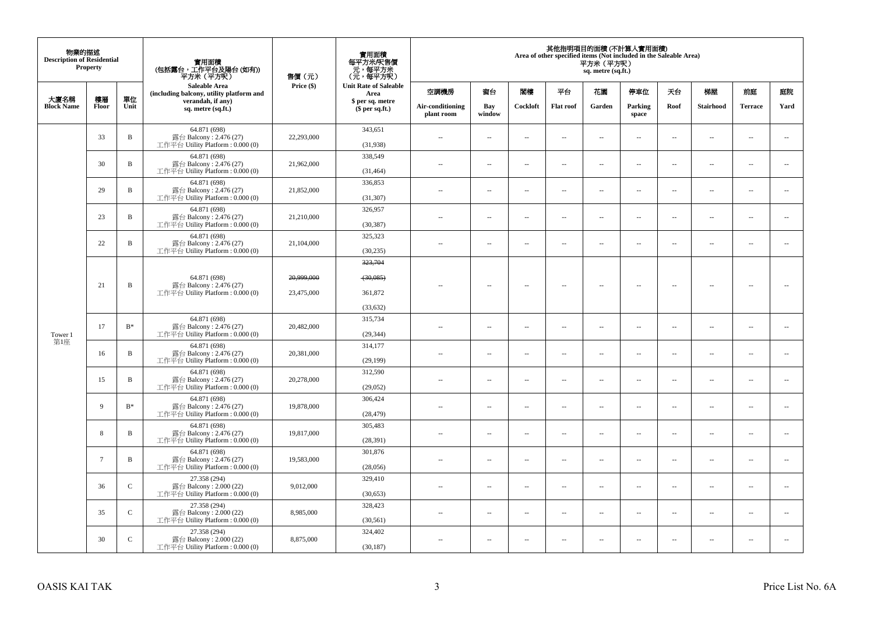| 物業的描述<br><b>Description of Residential</b> | Property        |                | 實用面積<br>(包括露台,工作平台及陽台(如有))<br>平方米(平方呎)                                       | 售價(元)                    | 實用面積<br>每平方米/呎售價<br>、元, 每平方米<br>(元, 每平方呎) |                                |                          |                          |                          | 平方米(平方呎)<br>sq. metre (sq.ft.) | 其他指明項目的面積 (不計算入實用面積)<br>Area of other specified items (Not included in the Saleable Area) |                          |                          |                          |                          |
|--------------------------------------------|-----------------|----------------|------------------------------------------------------------------------------|--------------------------|-------------------------------------------|--------------------------------|--------------------------|--------------------------|--------------------------|--------------------------------|-------------------------------------------------------------------------------------------|--------------------------|--------------------------|--------------------------|--------------------------|
|                                            |                 |                | Saleable Area<br>(including balcony, utility platform and                    | Price (\$)               | <b>Unit Rate of Saleable</b><br>Area      | 空調機房                           | 窗台                       | 関樓                       | 平台                       | 花園                             | 停車位                                                                                       | 夭台                       | 梯屋                       | 前庭                       | 庭院                       |
| 大廈名稱<br><b>Block Name</b>                  | 樓層<br>Floor     | 單位<br>Unit     | verandah, if any)<br>sq. metre (sq.ft.)                                      |                          | \$ per sq. metre<br>\$per sq.ft.)         | Air-conditioning<br>plant room | Bay<br>window            | Cockloft                 | <b>Flat roof</b>         | Garden                         | Parking<br>space                                                                          | Roof                     | Stairhood                | <b>Terrace</b>           | Yard                     |
|                                            | 33              | $\mathbf B$    | 64.871 (698)<br>露台 Balcony: 2.476 (27)<br>工作平台 Utility Platform: 0.000 (0)   | 22,293,000               | 343,651<br>(31,938)                       | $\sim$                         | $\sim$                   | $\sim$                   | $\sim$                   | $\sim$                         | $\sim$                                                                                    | $\sim$                   | $\overline{\phantom{a}}$ | $\sim$                   | $\sim$                   |
|                                            | 30              | B              | 64.871 (698)<br>露台 Balcony: 2.476 (27)<br>工作平台 Utility Platform: 0.000 (0)   | 21,962,000               | 338,549<br>(31, 464)                      | $\sim$                         | $\sim$                   | $\sim$                   | $\sim$                   | $\overline{\phantom{a}}$       | $\sim$                                                                                    | $\overline{\phantom{a}}$ | $\overline{\phantom{a}}$ | $\sim$                   | $\overline{\phantom{a}}$ |
|                                            | 29              | $\, {\bf B}$   | 64.871 (698)<br>露台 Balcony: 2.476 (27)<br>工作平台 Utility Platform: 0.000 (0)   | 21,852,000               | 336,853<br>(31, 307)                      | $\sim$                         | $\sim$                   | $\sim$                   | $\sim$                   | $\sim$                         | $\sim$                                                                                    | $\sim$                   | $\sim$                   | $\sim$                   | $\sim$                   |
|                                            | 23              | B              | 64.871 (698)<br>露台 Balcony: 2.476 (27)<br>工作平台 Utility Platform : $0.000(0)$ | 21,210,000               | 326,957<br>(30, 387)                      | $\sim$                         | $\sim$                   | $\sim$                   | $\sim$                   | $\overline{\phantom{a}}$       | $\sim$                                                                                    | $\sim$                   | $\overline{\phantom{a}}$ | $\bar{a}$                | $\sim$                   |
|                                            | 22<br>B         |                | 64.871 (698)<br>露台 Balcony: 2.476 (27)<br>工作平台 Utility Platform: 0.000 (0)   | 21,104,000               | 325,323<br>(30, 235)                      | $\sim$                         | $\overline{\phantom{a}}$ | $\sim$                   | $\overline{\phantom{a}}$ | $\overline{\phantom{a}}$       | $\sim$                                                                                    | $\sim$                   | $\overline{\phantom{a}}$ | $\overline{\phantom{a}}$ | $\sim$                   |
| Tower 1                                    | 21              | B              | 64.871 (698)<br>露台 Balcony: 2.476 (27)<br>工作平台 Utility Platform : $0.000(0)$ | 20,999,000<br>23,475,000 | 323,704<br>(30,085)<br>361,872            | $\overline{\phantom{a}}$       | $\sim$                   | $\sim$                   | $\sim$                   | $\sim$                         | $\sim$                                                                                    | $\sim$                   | $\sim$                   | $\overline{\phantom{a}}$ | $\sim$                   |
|                                            | 17              | $\mathbf{B}^*$ | 64.871 (698)<br>露台 Balcony: 2.476 (27)<br>工作平台 Utility Platform: 0.000 (0)   | 20,482,000               | (33, 632)<br>315,734<br>(29, 344)         | $\sim$                         | $\overline{\phantom{a}}$ | $\sim$                   | $\sim$                   | $\overline{a}$                 | $\sim$                                                                                    | $\sim$                   | $\overline{\phantom{a}}$ | $\overline{\phantom{a}}$ | $\sim$                   |
| 第1座                                        | 16              | B              | 64.871 (698)<br>露台 Balcony: 2.476 (27)<br>工作平台 Utility Platform: 0.000 (0)   | 20,381,000               | 314,177<br>(29, 199)                      | $\sim$                         | $\sim$                   | $\sim$                   | $\sim$                   | μ.                             | $\sim$                                                                                    | $\overline{\phantom{a}}$ | $\overline{\phantom{a}}$ | $\bar{a}$                | $\overline{\phantom{a}}$ |
|                                            | 15              | $\mathbf B$    | 64.871 (698)<br>露台 Balcony: 2.476 (27)<br>工作平台 Utility Platform: 0.000 (0)   | 20,278,000               | 312,590<br>(29,052)                       | $\sim$                         | $\overline{\phantom{a}}$ | $\sim$                   | $\sim$                   | $\overline{\phantom{a}}$       | $\sim$                                                                                    | $\sim$                   | $\overline{\phantom{a}}$ | $\overline{\phantom{a}}$ | $\overline{\phantom{a}}$ |
|                                            | 9               | $B^*$          | 64.871 (698)<br>露台 Balcony: 2.476 (27)<br>工作平台 Utility Platform: 0.000 (0)   | 19,878,000               | 306,424<br>(28, 479)                      | $\sim$                         | $\sim$                   | $\sim$                   | $\sim$                   | μ.                             | $\sim$                                                                                    | $\overline{\phantom{a}}$ | $\overline{\phantom{a}}$ | $\bar{a}$                | $\overline{\phantom{a}}$ |
|                                            | 8               | B              | 64.871 (698)<br>露台 Balcony: 2.476 (27)<br>工作平台 Utility Platform : $0.000(0)$ | 19,817,000               | 305,483<br>(28, 391)                      | $\sim$                         | $\sim$                   | $\sim$                   | $\sim$                   | $\overline{\phantom{a}}$       | $\sim$                                                                                    | $\overline{\phantom{a}}$ | $\overline{\phantom{a}}$ | $\sim$                   | $\overline{\phantom{a}}$ |
|                                            | $7\overline{ }$ | $\mathbf B$    | 64.871 (698)<br>露台 Balcony: 2.476 (27)<br>工作平台 Utility Platform: 0.000 (0)   | 19,583,000               | 301,876<br>(28,056)                       | $\sim$                         | $\sim$                   | $\sim$                   | $\sim$                   | $\sim$                         | $\sim$                                                                                    | $\sim$                   | $\sim$                   | $\sim$                   | $\sim$                   |
|                                            | 36              | $\mathbf{C}$   | 27.358 (294)<br>露台 Balcony: 2.000 (22)<br>工作平台 Utility Platform: 0.000 (0)   | 9,012,000                | 329,410<br>(30, 653)                      | ÷.                             | $\sim$                   | $\sim$                   | $\sim$                   | μ.                             | $\sim$                                                                                    | $\overline{\phantom{a}}$ | $\overline{\phantom{a}}$ | $\bar{a}$                | $\sim$                   |
|                                            | 35              | $\mathsf{C}$   | 27.358 (294)<br>露台 Balcony: 2.000 (22)<br>工作平台 Utility Platform : $0.000(0)$ | 8,985,000                | 328,423<br>(30, 561)                      | $\sim$                         | $\overline{\phantom{a}}$ | $\overline{\phantom{a}}$ | $\sim$                   | $\overline{a}$                 | $\sim$                                                                                    | $\sim$                   | $\overline{\phantom{a}}$ | $\overline{\phantom{a}}$ | $\sim$                   |
|                                            | 30              | $\mathbf{C}$   | 27.358 (294)<br>露台 Balcony: 2.000 (22)<br>工作平台 Utility Platform: 0.000 (0)   | 8,875,000                | 324,402<br>(30, 187)                      | $\sim$ $-$                     | $\overline{\phantom{a}}$ | $\sim$                   | $\overline{\phantom{a}}$ | $\overline{\phantom{a}}$       | $\sim$                                                                                    | $\overline{\phantom{a}}$ | $\overline{\phantom{a}}$ | $\sim$                   | $\overline{\phantom{a}}$ |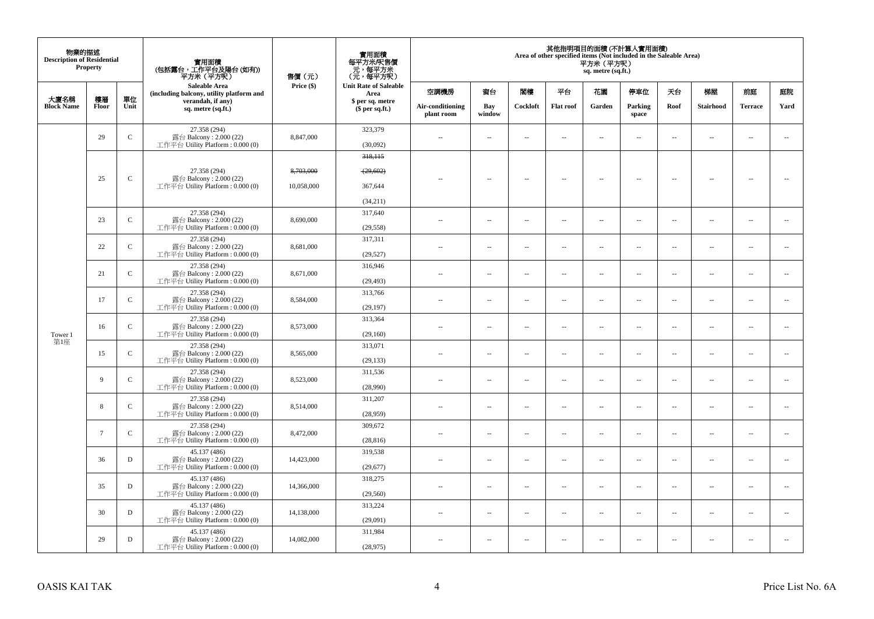| 物業的描述<br><b>Description of Residential</b> | Property        |              | 實用面積<br>(包括露台,工作平台及陽台(如有))<br>平方米 (平方呎)                                     | 售價 (元)     | 實用面積<br>每平方米/呎售價<br>元,每平方米<br>(元,每平方呎) |                                |                          |                          |                          | 平方米(平方呎)<br>sq. metre (sq.ft.) | 其他指明項目的面積 (不計算入實用面積)<br>Area of other specified items (Not included in the Saleable Area) |                          |                          |                          |                          |
|--------------------------------------------|-----------------|--------------|-----------------------------------------------------------------------------|------------|----------------------------------------|--------------------------------|--------------------------|--------------------------|--------------------------|--------------------------------|-------------------------------------------------------------------------------------------|--------------------------|--------------------------|--------------------------|--------------------------|
|                                            |                 |              | Saleable Area<br>(including balcony, utility platform and                   | Price (\$) | <b>Unit Rate of Saleable</b><br>Area   | 空調機房                           | 窗台                       | 閣樓                       | 平台                       | 花園                             | 停車位                                                                                       | 天台                       | 梯屋                       | 前庭                       | 庭院                       |
| 大廈名稱<br><b>Block Name</b>                  | 樓層<br>Floor     | 單位<br>Unit   | verandah, if any)<br>sq. metre (sq.ft.)                                     |            | \$ per sq. metre<br>$$$ per sq.ft.)    | Air-conditioning<br>plant room | Bay<br>window            | Cockloft                 | <b>Flat roof</b>         | Garden                         | Parking<br>${\bf space}$                                                                  | Roof                     | Stairhood                | <b>Terrace</b>           | Yard                     |
|                                            | 29              | $\mathbf C$  | 27.358 (294)<br>露台 Balcony: 2.000 (22)<br>工作平台 Utility Platform: 0.000 (0)  | 8,847,000  | 323,379<br>(30,092)                    | $\sim$                         | $\overline{a}$           | $\sim$                   | $\sim$                   | $\sim$                         | $\sim$                                                                                    | $\sim$                   | $\sim$                   | $\sim$                   | $\sim$                   |
|                                            |                 |              |                                                                             |            | 318,115                                |                                |                          |                          |                          |                                |                                                                                           |                          |                          |                          |                          |
|                                            | 25              | $\mathbf C$  | 27.358 (294)<br>露台 Balcony: 2.000 (22)                                      | 8,703,000  | (29, 602)                              |                                | Ξ.                       | $\overline{\phantom{a}}$ | $\overline{\phantom{a}}$ | $\overline{\phantom{a}}$       | 4                                                                                         | $\overline{\phantom{a}}$ | 44                       | $\sim$                   | $\sim$                   |
|                                            |                 |              | 工作平台 Utility Platform : 0.000 (0)                                           | 10,058,000 | 367,644                                |                                |                          |                          |                          |                                |                                                                                           |                          |                          |                          |                          |
|                                            |                 |              |                                                                             |            | (34,211)                               |                                |                          |                          |                          |                                |                                                                                           |                          |                          |                          |                          |
|                                            | 23              | $\mathsf{C}$ | 27.358 (294)<br>露台 Balcony: $2.000(22)$                                     | 8,690,000  | 317,640                                | $\sim$ $\sim$                  | μ.                       | $\sim$                   | $\sim$                   | $\overline{\phantom{a}}$       | $\sim$                                                                                    | $\overline{\phantom{a}}$ | $\overline{\phantom{a}}$ | $\bar{a}$                | $\sim$                   |
|                                            |                 |              | 工作平台 Utility Platform : 0.000 (0)                                           |            | (29, 558)                              |                                |                          |                          |                          |                                |                                                                                           |                          |                          |                          |                          |
|                                            | 22              | $\mathbf C$  | 27.358 (294)<br>露台 Balcony: 2.000 (22)                                      | 8,681,000  | 317,311                                | $\overline{a}$                 | $\sim$                   | $\sim$                   | $\sim$                   | $\overline{a}$                 | $\sim$                                                                                    | $\ddotsc$                | $\sim$                   | $\sim$                   | $\sim$                   |
|                                            |                 |              | 工作平台 Utility Platform: 0.000 (0)                                            |            | (29, 527)                              |                                |                          |                          |                          |                                |                                                                                           |                          |                          |                          |                          |
|                                            | 21              | $\mathsf{C}$ | 27.358 (294)<br>露台 Balcony: 2.000 (22)<br>工作平台 Utility Platform : 0.000 (0) | 8,671,000  | 316,946<br>(29, 493)                   | $\overline{a}$                 | $\overline{\phantom{a}}$ | $\sim$                   | $\overline{\phantom{a}}$ | $\overline{\phantom{a}}$       | $\sim$                                                                                    | $\overline{\phantom{a}}$ | $\overline{\phantom{a}}$ | $\sim$                   | $\sim$                   |
|                                            |                 |              | 27.358 (294)                                                                |            | 313,766                                |                                |                          |                          |                          |                                |                                                                                           |                          |                          |                          |                          |
|                                            | 17              | $\mathsf{C}$ | 露台 Balcony: 2.000 (22)<br>工作平台 Utility Platform: 0.000 (0)                  | 8,584,000  | (29, 197)                              | $\overline{a}$                 | $\overline{\phantom{a}}$ | $\sim$                   | $\overline{\phantom{a}}$ | $\overline{\phantom{a}}$       | $\sim$                                                                                    | $\sim$                   | $\overline{\phantom{a}}$ | $\overline{\phantom{a}}$ | $\sim$                   |
|                                            | 16              | ${\bf C}$    | 27.358 (294)<br>露台 Balcony: 2.000 (22)                                      | 8,573,000  | 313,364                                | ÷.                             | $\sim$                   | $\sim$                   | $\sim$                   | $\sim$                         | $\sim$                                                                                    | $\sim$                   | $\sim$                   | $\overline{\phantom{a}}$ | $\sim$                   |
| Tower 1                                    |                 |              | 工作平台 Utility Platform: 0.000 (0)                                            |            | (29,160)                               |                                |                          |                          |                          |                                |                                                                                           |                          |                          |                          |                          |
| 第1座                                        | 15              | $\mathsf{C}$ | 27.358 (294)<br>露台 Balcony: 2.000 (22)                                      | 8,565,000  | 313,071                                | $\sim$ $\sim$                  | μ.                       | $\sim$                   | $\sim$                   | $\overline{\phantom{a}}$       | $\sim$                                                                                    | $\overline{\phantom{a}}$ | $\sim$                   | $\sim$                   | $\sim$                   |
|                                            |                 |              | 工作平台 Utility Platform : 0.000 (0)                                           |            | (29, 133)                              |                                |                          |                          |                          |                                |                                                                                           |                          |                          |                          |                          |
|                                            | 9               | $\mathsf{C}$ | 27.358 (294)<br>露台 Balcony: 2.000 (22)                                      | 8,523,000  | 311,536                                | $\overline{a}$                 | $\overline{\phantom{a}}$ | $\sim$                   | $\overline{\phantom{a}}$ | $\overline{\phantom{a}}$       | $\sim$                                                                                    | $\sim$                   | $\overline{\phantom{a}}$ | $\sim$                   | $\overline{\phantom{a}}$ |
|                                            |                 |              | 工作平台 Utility Platform: 0.000 (0)                                            |            | (28,990)                               |                                |                          |                          |                          |                                |                                                                                           |                          |                          |                          |                          |
|                                            | 8               | $\mathbf C$  | 27.358 (294)<br>露台 Balcony: 2.000 (22)                                      | 8,514,000  | 311,207                                | ÷.                             | μ.                       | $\sim$                   | $\sim$                   | $\overline{a}$                 | $\sim$                                                                                    | $\overline{\phantom{a}}$ | $\overline{\phantom{a}}$ | $\sim$                   | $\sim$                   |
|                                            |                 |              | 工作平台 Utility Platform : 0.000 (0)                                           |            | (28,959)                               |                                |                          |                          |                          |                                |                                                                                           |                          |                          |                          |                          |
|                                            | $7\phantom{.0}$ | $\mathbf C$  | 27.358 (294)<br>露台 Balcony: 2.000 (22)                                      | 8,472,000  | 309,672                                | $\overline{\phantom{a}}$       | $\overline{\phantom{a}}$ | $\sim$                   | $\sim$                   | $\overline{\phantom{a}}$       | $\sim$                                                                                    | $\overline{\phantom{a}}$ | $\overline{\phantom{a}}$ | $\sim$                   | $\overline{\phantom{a}}$ |
|                                            |                 |              | 工作平台 Utility Platform : 0.000 (0)                                           |            | (28, 816)                              |                                |                          |                          |                          |                                |                                                                                           |                          |                          |                          |                          |
|                                            | 36              | $\mathbf D$  | 45.137 (486)<br>露台 Balcony: 2.000 (22)                                      | 14,423,000 | 319,538                                | ÷.                             | $\sim$                   | $\sim$                   | $\sim$                   | $\sim$                         | $\sim$                                                                                    | $\sim$                   | $\sim$                   | $\sim$                   | $\sim$                   |
|                                            |                 |              | 工作平台 Utility Platform: 0.000 (0)                                            |            | (29, 677)                              |                                |                          |                          |                          |                                |                                                                                           |                          |                          |                          |                          |
|                                            | 35              | D            | 45.137 (486)<br>露台 Balcony: 2.000 (22)                                      | 14,366,000 | 318,275                                | 44                             | μ.                       | $\sim$                   | $\sim$                   | μ.                             | $\sim$                                                                                    | $\sim$                   | $\overline{\phantom{a}}$ | $\bar{a}$                | $\sim$                   |
|                                            |                 |              | 工作平台 Utility Platform : $0.000(0)$<br>45.137 (486)                          |            | (29, 560)<br>313,224                   |                                |                          |                          |                          |                                |                                                                                           |                          |                          |                          |                          |
|                                            | 30              | D            | 露台 Balcony: 2.000 (22)                                                      | 14,138,000 |                                        | $\sim$                         | $\sim$                   | $\sim$                   | $\sim$                   | $\sim$                         | $\sim$                                                                                    | $\sim$                   | $\overline{\phantom{a}}$ | $\overline{\phantom{a}}$ | $\sim$                   |
|                                            |                 |              | 工作平台 Utility Platform : 0.000 (0)<br>45.137 (486)                           |            | (29,091)<br>311,984                    |                                |                          |                          |                          |                                |                                                                                           |                          |                          |                          |                          |
|                                            | 29              | D            | 露台 Balcony: 2.000 (22)<br>工作平台 Utility Platform: 0.000 (0)                  | 14,082,000 | (28,975)                               | $\overline{a}$                 | $\overline{\phantom{a}}$ | $\overline{\phantom{a}}$ | $\overline{\phantom{a}}$ | $\overline{\phantom{a}}$       | $\sim$                                                                                    | $\overline{\phantom{a}}$ | $\overline{\phantom{a}}$ | $\sim$                   | $\sim$                   |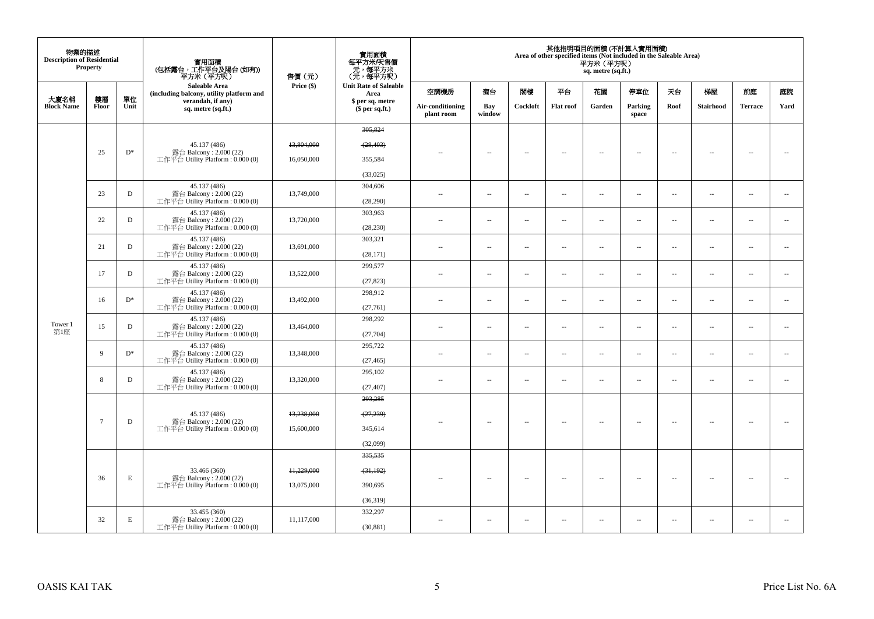| 物業的描述<br><b>Description of Residential</b> | <b>Property</b>                   |              | 實用面積<br>(包括露台,工作平台及陽台(如有))<br>平方米(平方呎)                       | 售價(元)      | 實用面積<br>每平方米/呎售價<br>ー・カバント<br>(元・每平方米)<br>(元・每平方呎) |               |                          |                          |                          | 平方米 (平方呎)<br>sq. metre (sq.ft.) | 其他指明項目的面積 (不計算入實用面積)<br>Area of other specified items (Not included in the Saleable Area) |                          |                          |                                |                          |          |                  |        |                  |      |           |                |      |
|--------------------------------------------|-----------------------------------|--------------|--------------------------------------------------------------|------------|----------------------------------------------------|---------------|--------------------------|--------------------------|--------------------------|---------------------------------|-------------------------------------------------------------------------------------------|--------------------------|--------------------------|--------------------------------|--------------------------|----------|------------------|--------|------------------|------|-----------|----------------|------|
|                                            |                                   |              | Saleable Area<br>(including balcony, utility platform and    | Price (\$) | <b>Unit Rate of Saleable</b><br>Area               | 空調機房          | 窗台                       | 関樓                       | 平台                       | 花園                              | 停車位                                                                                       | 夭台                       | 梯屋                       | 前庭                             | 庭院                       |          |                  |        |                  |      |           |                |      |
| 大廈名稱<br><b>Block Name</b>                  | 樓層<br>Floor                       | 單位<br>Unit   | verandah, if any)<br>sq. metre (sq.ft.)                      |            | \$ per sq. metre<br>$$$ per sq.ft.)                |               |                          |                          |                          |                                 |                                                                                           |                          |                          | Air-conditioning<br>plant room | Bay<br>window            | Cockloft | <b>Flat roof</b> | Garden | Parking<br>space | Roof | Stairhood | <b>Terrace</b> | Yard |
|                                            |                                   |              |                                                              |            | 305,824                                            |               |                          |                          |                          |                                 |                                                                                           |                          |                          |                                |                          |          |                  |        |                  |      |           |                |      |
|                                            |                                   |              | 45.137 (486)                                                 | 13,804,000 | (28, 403)                                          |               |                          |                          |                          |                                 |                                                                                           |                          |                          |                                |                          |          |                  |        |                  |      |           |                |      |
|                                            | 25                                | $D^*$        | 露台 Balcony: 2.000 (22)<br>工作平台 Utility Platform : $0.000(0)$ | 16,050,000 | 355,584                                            | $\sim$ $-$    | $\overline{\phantom{a}}$ | $\overline{\phantom{a}}$ | $\overline{\phantom{a}}$ | $\overline{\phantom{a}}$        | $\overline{\phantom{a}}$                                                                  | $\overline{\phantom{a}}$ | $\overline{\phantom{a}}$ | $\overline{\phantom{a}}$       | $\overline{\phantom{a}}$ |          |                  |        |                  |      |           |                |      |
|                                            |                                   |              |                                                              |            | (33,025)                                           |               |                          |                          |                          |                                 |                                                                                           |                          |                          |                                |                          |          |                  |        |                  |      |           |                |      |
|                                            |                                   |              | 45.137 (486)                                                 |            | 304,606                                            |               |                          |                          |                          |                                 |                                                                                           |                          |                          |                                |                          |          |                  |        |                  |      |           |                |      |
|                                            | 23                                | D            | 露台 Balcony: 2.000 (22)<br>工作平台 Utility Platform : $0.000(0)$ | 13,749,000 | (28, 290)                                          | $\sim$        | $\sim$                   | $\sim$                   | $\sim$                   | μ.                              | $\sim$                                                                                    | $\overline{\phantom{a}}$ | $\overline{\phantom{a}}$ | $\bar{a}$                      | $\overline{\phantom{a}}$ |          |                  |        |                  |      |           |                |      |
|                                            | 22                                | D            | 45.137 (486)                                                 | 13,720,000 | 303,963                                            |               |                          |                          |                          |                                 |                                                                                           |                          |                          |                                |                          |          |                  |        |                  |      |           |                |      |
|                                            |                                   |              | 露台 Balcony: 2.000 (22)<br>工作平台 Utility Platform : $0.000(0)$ |            | (28, 230)                                          | $\sim$        | $\sim$                   | $\sim$                   | $\ldots$                 | $\overline{\phantom{a}}$        | $\sim$                                                                                    | $\overline{\phantom{a}}$ | $\overline{\phantom{a}}$ | $\sim$                         | $\overline{\phantom{a}}$ |          |                  |        |                  |      |           |                |      |
|                                            | 21                                | D            | 45.137 (486)<br>露台 Balcony: 2.000 (22)                       | 13,691,000 | 303,321                                            | $\sim$        | $\sim$                   | $\sim$                   | $\overline{\phantom{a}}$ | $\overline{\phantom{a}}$        | $\overline{\phantom{a}}$                                                                  | $\overline{\phantom{a}}$ | $\overline{\phantom{a}}$ | $\sim$                         | $\sim$                   |          |                  |        |                  |      |           |                |      |
|                                            |                                   |              | 工作平台 Utility Platform : $0.000(0)$                           |            | (28, 171)                                          |               |                          |                          |                          |                                 |                                                                                           |                          |                          |                                |                          |          |                  |        |                  |      |           |                |      |
|                                            | 露台 Balcony: 2.000 (22)<br>17<br>D | 45.137 (486) | 13,522,000                                                   | 299,577    | $\sim$                                             | $\sim$        | $\sim$                   | $\overline{\phantom{a}}$ | $\sim$                   | $\overline{\phantom{a}}$        | $\overline{\phantom{a}}$                                                                  | $\overline{\phantom{a}}$ | $\sim$                   | $\sim$                         |                          |          |                  |        |                  |      |           |                |      |
|                                            |                                   |              | 工作平台 Utility Platform: 0.000 (0)                             |            | (27, 823)                                          |               |                          |                          |                          |                                 |                                                                                           |                          |                          |                                |                          |          |                  |        |                  |      |           |                |      |
|                                            | 16                                | $D^*$        | 45.137 (486)<br>露台 Balcony: 2.000 (22)                       | 13,492,000 | 298,912                                            | $\sim$        | $\sim$                   | $\sim$                   | $\sim$                   | $\overline{\phantom{a}}$        | $\sim$                                                                                    | $\overline{\phantom{a}}$ | $\overline{\phantom{a}}$ | $\sim$                         | $\overline{\phantom{a}}$ |          |                  |        |                  |      |           |                |      |
|                                            |                                   |              | 工作平台 Utility Platform : $0.000(0)$                           |            | (27,761)                                           |               |                          |                          |                          |                                 |                                                                                           |                          |                          |                                |                          |          |                  |        |                  |      |           |                |      |
| Tower 1                                    | 15                                | D            | 45.137 (486)<br>露台 Balcony: 2.000 (22)                       | 13,464,000 | 298,292                                            | $\sim$        | $\sim$                   | $\sim$                   | $\ldots$                 | $\ldots$                        | $\sim$                                                                                    | $\overline{\phantom{a}}$ | $\overline{\phantom{a}}$ | $\sim$                         | $\overline{\phantom{a}}$ |          |                  |        |                  |      |           |                |      |
| 第1座                                        |                                   |              | 工作平台 Utility Platform : $0.000(0)$                           |            | (27,704)                                           |               |                          |                          |                          |                                 |                                                                                           |                          |                          |                                |                          |          |                  |        |                  |      |           |                |      |
|                                            | 9                                 | $D^*$        | 45.137 (486)<br>露台 Balcony: 2.000 (22)                       | 13,348,000 | 295,722                                            | $\sim$        | $\overline{\phantom{a}}$ | $\sim$                   | $\ldots$                 | $\ldots$                        | $\sim$                                                                                    | $\overline{\phantom{a}}$ | $\overline{\phantom{a}}$ | $\sim$                         | $\overline{\phantom{a}}$ |          |                  |        |                  |      |           |                |      |
|                                            |                                   |              | 工作平台 Utility Platform: 0.000 (0)                             |            | (27, 465)                                          |               |                          |                          |                          |                                 |                                                                                           |                          |                          |                                |                          |          |                  |        |                  |      |           |                |      |
|                                            | 8                                 | D            | 45.137 (486)<br>露台 Balcony: 2.000 (22)                       | 13,320,000 | 295,102                                            | $\sim$        | $\sim$                   | $\sim$                   | $\overline{\phantom{a}}$ | $\sim$                          | $\sim$                                                                                    | $\overline{\phantom{a}}$ | $\overline{\phantom{a}}$ | $\sim$                         | $\overline{\phantom{a}}$ |          |                  |        |                  |      |           |                |      |
|                                            |                                   |              | 工作平台 Utility Platform : $0.000(0)$                           |            | (27, 407)<br>293,285                               |               |                          |                          |                          |                                 |                                                                                           |                          |                          |                                |                          |          |                  |        |                  |      |           |                |      |
|                                            |                                   |              |                                                              |            |                                                    |               |                          |                          |                          |                                 |                                                                                           |                          |                          |                                |                          |          |                  |        |                  |      |           |                |      |
|                                            | $7\overline{ }$                   | D            | 45.137 (486)<br>露台 Balcony: 2.000 (22)                       | 13,238,000 | (27, 239)                                          | $-$           | $\overline{\phantom{a}}$ | $\sim$                   | $\overline{a}$           | $\overline{\phantom{a}}$        | $\sim$                                                                                    | $\sim$                   | $\overline{\phantom{a}}$ | $\sim$                         | $\sim$                   |          |                  |        |                  |      |           |                |      |
|                                            |                                   |              | 工作平台 Utility Platform : $0.000(0)$                           | 15,600,000 | 345,614                                            |               |                          |                          |                          |                                 |                                                                                           |                          |                          |                                |                          |          |                  |        |                  |      |           |                |      |
|                                            |                                   |              |                                                              |            | (32,099)                                           |               |                          |                          |                          |                                 |                                                                                           |                          |                          |                                |                          |          |                  |        |                  |      |           |                |      |
|                                            |                                   |              |                                                              |            | 335,535                                            |               |                          |                          |                          |                                 |                                                                                           |                          |                          |                                |                          |          |                  |        |                  |      |           |                |      |
|                                            | 36                                | E            | 33.466 (360)<br>露台 Balcony: 2.000 (22)                       | 11,229,000 | (31,192)                                           | $\sim$        | $\sim$                   | $\sim$                   | $\overline{\phantom{a}}$ | $\overline{\phantom{a}}$        | $\sim$                                                                                    | $\overline{\phantom{a}}$ | $\overline{\phantom{a}}$ | $\overline{\phantom{a}}$       | $\sim$                   |          |                  |        |                  |      |           |                |      |
|                                            |                                   |              | 工作平台 Utility Platform : $0.000(0)$                           | 13,075,000 | 390,695                                            |               |                          |                          |                          |                                 |                                                                                           |                          |                          |                                |                          |          |                  |        |                  |      |           |                |      |
|                                            |                                   |              |                                                              |            | (36,319)                                           |               |                          |                          |                          |                                 |                                                                                           |                          |                          |                                |                          |          |                  |        |                  |      |           |                |      |
|                                            | 32                                | Е            | 33.455 (360)<br>露台 Balcony: 2.000 (22)                       | 11,117,000 | 332,297                                            | $\sim$ $\sim$ | $\sim$                   | $\sim$                   | $\sim$                   | $\sim$                          | $\sim$                                                                                    | $\sim$                   | $\sim$                   | $\sim$                         | $\overline{\phantom{a}}$ |          |                  |        |                  |      |           |                |      |
|                                            |                                   |              | 工作平台 Utility Platform : $0.000(0)$                           |            | (30, 881)                                          |               |                          |                          |                          |                                 |                                                                                           |                          |                          |                                |                          |          |                  |        |                  |      |           |                |      |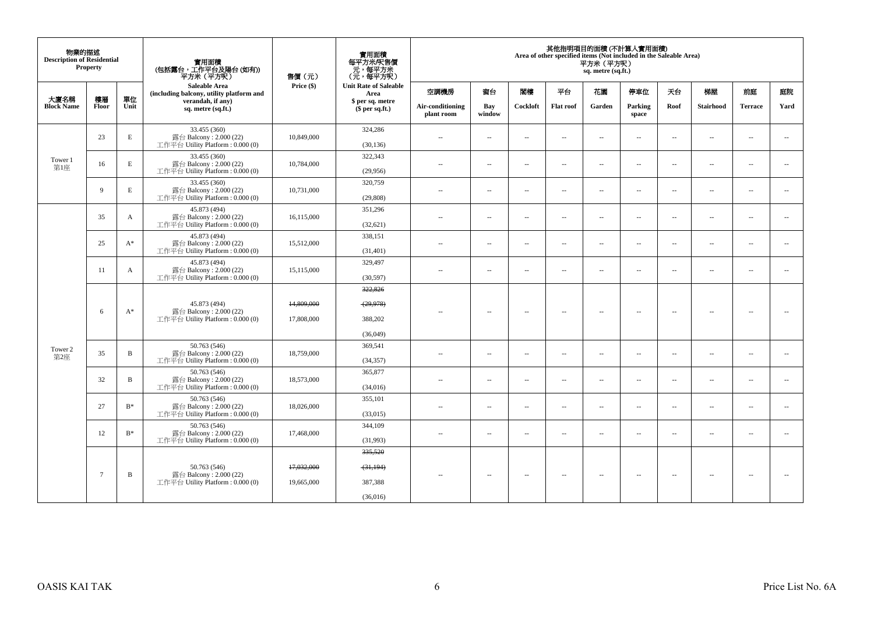| 物業的描述<br><b>Description of Residential</b> | Property        |                | 實用面積<br>(包括露台,工作平台及陽台 (如有))<br>平方米(平方呎)                                      | 售價(元)                    | 實用面積<br>每平方米/呎售價<br>元,每平方米<br>(元,每平方呎)      |                                |                          |          |                          | 平方米 (平方呎)<br>sq. metre (sq.ft.) | 其他指明項目的面積(不計算入實用面積)<br>Area of other specified items (Not included in the Saleable Area) |                          |                          |                          |                          |
|--------------------------------------------|-----------------|----------------|------------------------------------------------------------------------------|--------------------------|---------------------------------------------|--------------------------------|--------------------------|----------|--------------------------|---------------------------------|------------------------------------------------------------------------------------------|--------------------------|--------------------------|--------------------------|--------------------------|
|                                            |                 |                | Saleable Area<br>(including balcony, utility platform and                    | Price (\$)               | <b>Unit Rate of Saleable</b><br>Area        | 空調機房                           | 窗台                       | 閣樓       | 平台                       | 花園                              | 停車位                                                                                      | 天台                       | 梯屋                       | 前庭                       | 庭院                       |
| 大廈名稱<br><b>Block Name</b>                  | 樓層<br>Floor     | 單位<br>Unit     | verandah, if any)<br>sq. metre (sq.ft.)                                      |                          | \$ per sq. metre<br>\$per sq.ft.)           | Air-conditioning<br>plant room | Bay<br>window            | Cockloft | <b>Flat roof</b>         | Garden                          | Parking<br>space                                                                         | Roof                     | <b>Stairhood</b>         | <b>Terrace</b>           | Yard                     |
|                                            | 23              | E              | 33.455 (360)<br>露台 Balcony: 2.000 (22)<br>工作平台 Utility Platform : $0.000(0)$ | 10,849,000               | 324,286<br>(30, 136)                        | $\overline{a}$                 | $\sim$                   | $\sim$   | $\sim$                   | ш.                              | $\sim$                                                                                   | $\overline{\phantom{a}}$ | $\overline{\phantom{a}}$ | $\sim$                   | $\overline{\phantom{a}}$ |
| Tower 1<br>第1座                             | 16              | E              | 33.455 (360)<br>露台 Balcony: 2.000 (22)<br>工作平台 Utility Platform : $0.000(0)$ | 10,784,000               | 322,343<br>(29,956)                         | $\sim$ $\sim$                  | $\sim$                   | $\sim$   | $\sim$                   | $\sim$                          | $\sim$                                                                                   | $\overline{\phantom{a}}$ | $\sim$                   | $\sim$                   | $\overline{\phantom{a}}$ |
|                                            | 9               | E              | 33.455 (360)<br>露台 Balcony: 2.000 (22)<br>工作平台 Utility Platform: 0.000 (0)   | 10,731,000               | 320,759<br>(29, 808)                        | $\sim$                         | $\sim$                   | $\sim$   | $\sim$                   | $\sim$                          | $\sim$                                                                                   | $\overline{\phantom{a}}$ | $\overline{\phantom{a}}$ | $\sim$                   | $\overline{\phantom{a}}$ |
|                                            | 35              | A              | 45.873 (494)<br>露台 Balcony: 2.000 (22)<br>工作平台 Utility Platform: 0.000 (0)   | 16,115,000               | 351,296<br>(32, 621)                        | $\sim$                         | $\sim$                   | $\sim$   | $\sim$                   | $\sim$                          | $\sim$                                                                                   | $\sim$                   | $\sim$                   | $\sim$                   | $\sim$                   |
|                                            | 25              | $A^*$          | 45.873 (494)<br>露台 Balcony: 2.000 (22)<br>工作平台 Utility Platform : $0.000(0)$ | 15,512,000               | 338,151<br>(31, 401)                        | $\sim$                         | $\overline{a}$           | $\sim$   | $\sim$                   | $\overline{a}$                  | $\sim$                                                                                   | $\overline{\phantom{a}}$ | $\overline{\phantom{a}}$ | $\sim$                   | $\sim$                   |
|                                            | 11              | A              | 45.873 (494)<br>露台 Balcony: 2.000 (22)<br>工作平台 Utility Platform : $0.000(0)$ | 15,115,000               | 329,497<br>(30,597)                         | $\sim$ $-$                     | $\sim$                   | $\sim$   | $\overline{\phantom{a}}$ | μ.                              | $\overline{\phantom{a}}$                                                                 | $\overline{\phantom{a}}$ | $\overline{\phantom{a}}$ | $\overline{\phantom{a}}$ | $\overline{\phantom{a}}$ |
|                                            | 6               | $A^*$          | 45.873 (494)<br>露台 Balcony: 2.000 (22)<br>工作平台 Utility Platform : $0.000(0)$ | 14,809,000<br>17,808,000 | 322,826<br>(29, 978)<br>388,202<br>(36,049) | $-$                            | $\sim$                   | $\sim$   | $\sim$                   | $\sim$                          | $\sim$                                                                                   | $\sim$                   | $\sim$                   | $\overline{\phantom{a}}$ |                          |
| Tower 2<br>第2座                             | 35              | $\overline{B}$ | 50.763 (546)<br>露台 Balcony: 2.000 (22)<br>工作平台 Utility Platform : $0.000(0)$ | 18,759,000               | 369,541<br>(34, 357)                        | $\sim$                         | $\overline{a}$           | $\sim$   | $\sim$                   | $\overline{a}$                  | $\sim$                                                                                   | $\overline{\phantom{a}}$ | $\overline{\phantom{a}}$ | $\sim$                   | $\overline{\phantom{a}}$ |
|                                            | 32              | $\bf{B}$       | 50.763 (546)<br>露台 Balcony: 2.000 (22)<br>工作平台 Utility Platform: 0.000 (0)   | 18,573,000               | 365,877<br>(34,016)                         | $\sim$                         | $\overline{\phantom{a}}$ | $\sim$   | $\overline{\phantom{a}}$ | $\overline{\phantom{a}}$        | $\sim$                                                                                   | $\overline{\phantom{a}}$ | $\overline{\phantom{a}}$ | $\sim$                   | $\overline{\phantom{a}}$ |
|                                            | 27              | $B^*$          | 50.763 (546)<br>露台 Balcony: 2.000 (22)<br>工作平台 Utility Platform : $0.000(0)$ | 18,026,000               | 355,101<br>(33,015)                         | $\sim$                         | $\sim$                   | $\sim$   | $\sim$                   | $\sim$                          | $\sim$                                                                                   | $\overline{\phantom{a}}$ | $\sim$                   | $\sim$                   | $\sim$                   |
|                                            | 12              | $B^*$          | 50.763 (546)<br>露台 Balcony: 2.000 (22)<br>工作平台 Utility Platform: 0.000 (0)   | 17,468,000               | 344,109<br>(31,993)                         | $\sim$ $\sim$                  | $\overline{\phantom{a}}$ | $\sim$   | $\overline{\phantom{a}}$ | $\overline{\phantom{a}}$        | $\sim$                                                                                   | $\overline{\phantom{a}}$ | $\overline{\phantom{a}}$ | $\sim$                   | $\overline{\phantom{a}}$ |
|                                            | $7\phantom{.0}$ | B              | 50.763 (546)<br>露台 Balcony: 2.000 (22)<br>工作平台 Utility Platform : $0.000(0)$ | 17,032,000<br>19,665,000 | 335,520<br>(31, 194)<br>387,388<br>(36,016) | $\sim$ $-$                     | $\overline{\phantom{a}}$ | $\sim$   | $\overline{\phantom{a}}$ | $\overline{\phantom{a}}$        | $\sim$                                                                                   | $\hspace{0.05cm} \ldots$ | $\overline{\phantom{a}}$ | $\overline{\phantom{a}}$ | $\sim$                   |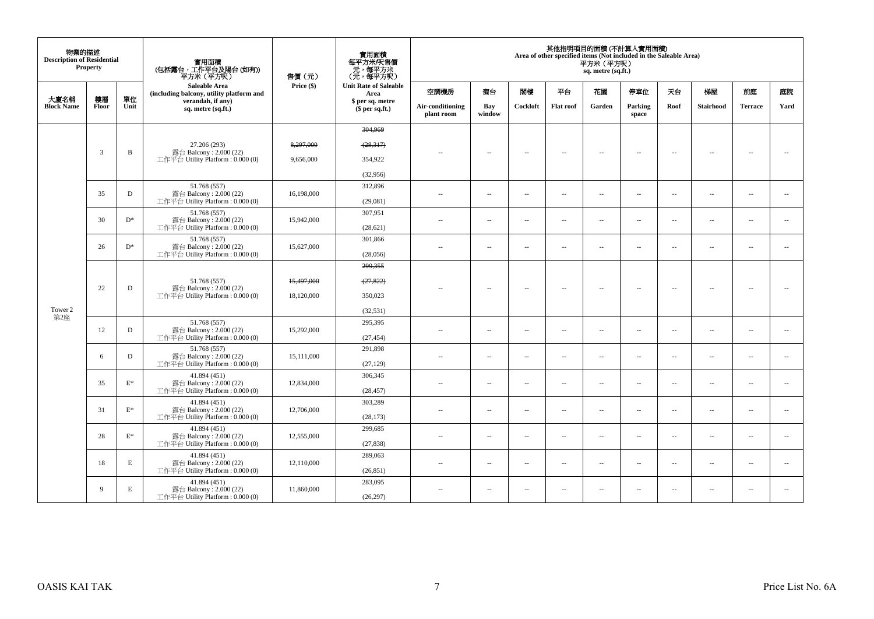| 物業的描述<br><b>Description of Residential</b> | <b>Property</b> |                 | 實用面積<br>(包括露台,工作平台及陽台 (如有))<br>平方米(平方呎)                                      | 售價(元)                  | 實用面積<br>每平方米/呎售價<br>元,每平方米<br>(元,每平方呎) |                                |                          |                          |                          | 平方米 (平方呎)<br>sq. metre (sq.ft.) | 其他指明項目的面積 (不計算入實用面積)<br>Area of other specified items (Not included in the Saleable Area) |                          |                          |                          |        |
|--------------------------------------------|-----------------|-----------------|------------------------------------------------------------------------------|------------------------|----------------------------------------|--------------------------------|--------------------------|--------------------------|--------------------------|---------------------------------|-------------------------------------------------------------------------------------------|--------------------------|--------------------------|--------------------------|--------|
|                                            |                 |                 | <b>Saleable Area</b><br>(including balcony, utility platform and             | Price (\$)             | <b>Unit Rate of Saleable</b><br>Area   | 空調機房                           | 窗台                       | 閣樓                       | 平台                       | 花園                              | 停車位                                                                                       | 天台                       | 梯屋                       | 前庭                       | 庭院     |
| 大廈名稱<br><b>Block Name</b>                  | 樓層<br>Floor     | 單位<br>Unit      | verandah, if any)<br>sq. metre (sq.ft.)                                      |                        | \$ per sq. metre<br>\$per sq.ft.)      | Air-conditioning<br>plant room | Bay<br>window            | Cockloft                 | <b>Flat roof</b>         | Garden                          | Parking<br>space                                                                          | Roof                     | <b>Stairhood</b>         | <b>Terrace</b>           | Yard   |
|                                            |                 |                 |                                                                              |                        | 304,969                                |                                |                          |                          |                          |                                 |                                                                                           |                          |                          |                          |        |
|                                            | 3               | $\, {\bf B}$    | 27.206 (293)<br>露台 Balcony: 2.000 (22)<br>工作平台 Utility Platform : 0.000 (0)  | 8,297,000<br>9,656,000 | (28,317)<br>354,922                    | ц,                             | μ.                       | ٠.                       | $\bar{a}$                | $\sim$                          | $\sim$                                                                                    | $\sim$                   | $\sim$                   | ٠.                       |        |
|                                            |                 |                 |                                                                              |                        |                                        |                                |                          |                          |                          |                                 |                                                                                           |                          |                          |                          |        |
|                                            |                 |                 | 51.768 (557)                                                                 |                        | (32,956)<br>312,896                    |                                |                          |                          |                          |                                 |                                                                                           |                          |                          |                          |        |
|                                            | 35              | D               | 露台 Balcony: 2.000 (22)<br>工作平台 Utility Platform : $0.000(0)$                 | 16,198,000             | (29,081)                               | $-$                            | $\sim$                   | $\sim$                   | $\sim$                   | $\overline{a}$                  | $\sim$                                                                                    | $\sim$                   | $\sim$                   | $\sim$                   |        |
|                                            |                 |                 | 51.768 (557)                                                                 |                        | 307,951                                |                                |                          |                          |                          |                                 |                                                                                           |                          |                          |                          |        |
|                                            | 30              | $D^*$           | 露台 Balcony: $2.000(22)$<br>工作平台 Utility Platform : $0.000(0)$                | 15,942,000             | (28, 621)                              | $\overline{\phantom{a}}$       | $\overline{a}$           | $\sim$                   | $\overline{\phantom{a}}$ | $\overline{\phantom{a}}$        | $\sim$                                                                                    | $\sim$                   | $\overline{\phantom{a}}$ | $\sim$                   |        |
|                                            | 26              | $D^*$           | 51.768 (557)<br>露台 Balcony: 2.000 (22)                                       | 15,627,000             | 301.866                                | $\sim$ $\sim$                  | $\overline{\phantom{a}}$ | $\sim$                   | $\overline{\phantom{a}}$ | $\overline{\phantom{a}}$        | $\sim$                                                                                    | $\overline{\phantom{a}}$ | $\overline{\phantom{a}}$ | $\sim$                   | $\sim$ |
|                                            |                 |                 | 工作平台 Utility Platform: 0.000 (0)                                             |                        | (28,056)                               |                                |                          |                          |                          |                                 |                                                                                           |                          |                          |                          |        |
|                                            |                 |                 |                                                                              |                        | 299,355                                |                                |                          |                          |                          |                                 |                                                                                           |                          |                          |                          |        |
|                                            | 22              | $\mathbf D$     | 51.768 (557)<br>露台 Balcony: 2.000 (22)<br>工作平台 Utility Platform : $0.000(0)$ | 15,497,000             | (27, 822)                              |                                | $\overline{a}$           | $\sim$                   | $\overline{\phantom{a}}$ | $\overline{\phantom{a}}$        | $\sim$                                                                                    | $\sim$                   | $\sim$                   | $\sim$                   |        |
|                                            |                 |                 |                                                                              | 18,120,000             | 350,023                                |                                |                          |                          |                          |                                 |                                                                                           |                          |                          |                          |        |
| Tower 2<br>第2座                             |                 |                 |                                                                              |                        | (32, 531)                              |                                |                          |                          |                          |                                 |                                                                                           |                          |                          |                          |        |
|                                            | 12              | D               | 51.768 (557)<br>露台 Balcony: 2.000 (22)<br>工作平台 Utility Platform: 0.000 (0)   | 15.292,000             | 295,395<br>(27, 454)                   | $\sim$                         | $\ddot{\phantom{a}}$     | $\sim$                   | $\sim$                   | $\overline{\phantom{a}}$        | $\sim$                                                                                    | $\sim$                   | $\overline{\phantom{a}}$ | $\sim$                   |        |
|                                            |                 |                 | 51.768 (557)                                                                 |                        | 291,898                                |                                |                          |                          |                          |                                 |                                                                                           |                          |                          |                          |        |
|                                            | 6               | D               | 露台 Balcony: 2.000 (22)<br>工作平台 Utility Platform : $0.000(0)$                 | 15,111,000             | (27, 129)                              | $\sim$                         | $\overline{a}$           | $\sim$                   | $\sim$                   | $\overline{a}$                  | $\sim$                                                                                    | $\sim$                   | $\sim$                   | $\sim$                   |        |
|                                            | 35              | $\mathcal{E}^*$ | 41.894 (451)<br>露台 Balcony: 2.000 (22)                                       | 12,834,000             | 306,345                                | $\sim$ $\sim$                  |                          | $\overline{\phantom{a}}$ | $\overline{\phantom{a}}$ |                                 | $\overline{\phantom{a}}$                                                                  |                          | $\overline{\phantom{a}}$ | $\sim$                   | $\sim$ |
|                                            |                 |                 | 工作平台 Utility Platform : $0.000(0)$                                           |                        | (28, 457)                              |                                | $\overline{\phantom{a}}$ |                          |                          | $\overline{\phantom{a}}$        |                                                                                           | $\overline{\phantom{a}}$ |                          |                          |        |
|                                            | 31              | $\mathbf{E}^*$  | 41.894 (451)<br>露台 Balcony: 2.000 (22)                                       | 12,706,000             | 303,289                                | $\sim$                         | $\sim$                   | $\sim$                   | $\sim$                   | $\sim$                          | $\sim$                                                                                    | $\sim$                   | $\sim$                   | <b>A</b>                 |        |
|                                            |                 |                 | 工作平台 Utility Platform: 0.000 (0)                                             |                        | (28, 173)                              |                                |                          |                          |                          |                                 |                                                                                           |                          |                          |                          |        |
|                                            | 28              | $\mathcal{E}^*$ | 41.894 (451)<br>露台 Balcony: 2.000 (22)<br>工作平台 Utility Platform : $0.000(0)$ | 12,555,000             | 299,685<br>(27, 838)                   | ٠.                             | $\overline{\phantom{a}}$ | $\overline{\phantom{a}}$ | $\overline{\phantom{a}}$ | $\overline{\phantom{a}}$        | $\overline{\phantom{a}}$                                                                  | $\overline{\phantom{a}}$ | $\overline{\phantom{a}}$ | $\overline{\phantom{a}}$ | $\sim$ |
|                                            |                 |                 | 41.894 (451)                                                                 |                        | 289,063                                |                                |                          |                          |                          |                                 |                                                                                           |                          |                          |                          |        |
|                                            | 18              | E               | 露台 Balcony: 2.000 (22)<br>工作平台 Utility Platform : $0.000(0)$                 | 12,110,000             | (26, 851)                              | $\sim$                         | $\overline{\phantom{a}}$ | $\sim$                   | $\overline{\phantom{a}}$ | $\overline{\phantom{a}}$        | $\sim$                                                                                    | $\overline{\phantom{a}}$ | $\overline{\phantom{a}}$ | $\sim$                   |        |
|                                            |                 |                 | 41.894 (451)                                                                 |                        | 283,095                                |                                |                          |                          |                          |                                 |                                                                                           |                          |                          |                          |        |
|                                            | 9               | E               | 露台 Balcony: 2.000 (22)<br>工作平台 Utility Platform : $0.000(0)$                 | 11,860,000             | (26, 297)                              | $\sim$                         | $\overline{\phantom{a}}$ | $\overline{\phantom{a}}$ | $\overline{\phantom{a}}$ | $\overline{\phantom{a}}$        | $\overline{\phantom{a}}$                                                                  | $\sim$                   | $\overline{\phantom{a}}$ | $\overline{\phantom{a}}$ |        |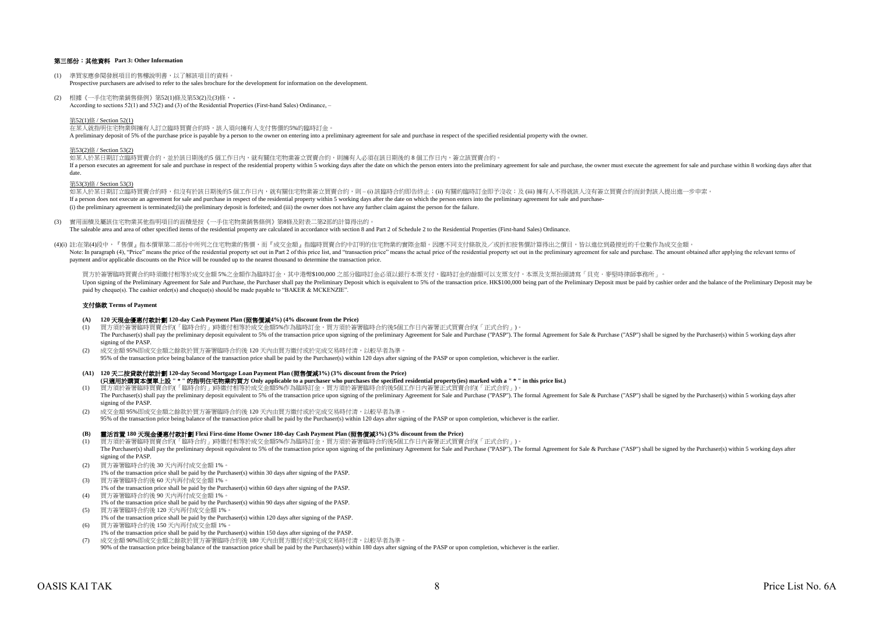## 第三部份:其他資料 **Part 3: Other Information**

- (1) 準買家應參閱發展項目的售樓說明書,以了解該項目的資料。 Prospective purchasers are advised to refer to the sales brochure for the development for information on the development.
- (2) 根據《一手住宅物業銷售條例》第52(1)條及第53(2)及(3)條, According to sections 52(1) and 53(2) and (3) of the Residential Properties (First-hand Sales) Ordinance, –

第52(1)條 / Section 52(1)

在某人就指明住宅物業與擁有人訂立臨時買賣合約時,該人須向擁有人支付售價的5%的臨時訂金。 A preliminary deposit of 5% of the purchase price is payable by a person to the owner on entering into a preliminary agreement for sale and purchase in respect of the specified residential property with the owner.

#### 第53(2)條 / Section 53(2)

如某人於某日期訂立臨時買賣合約,並於該日期後的5 個工作日內,就有關住宅物業簽立買賣合約,則擁有人必須在該日期後的 8 個工作日内,簽立該買賣合約。 If a person executes an agreement for sale and purchase in respect of the residential property within 5 working days after the date on which the person enters into the preliminary agreement for sale and purchase, the owner date.

#### 第53(3)條 / Section 53(3)

如某人於某日期訂立臨時買賣合約時,但沒有於該日期後的5 個工作日內,就有關住宅物業簽立買賣合約,則 – (i) 該臨時合約即告終止;(ii) 有關的臨時訂金即予沒收;及 (iii) 擁有人不得就該人沒有簽立買賣合約而針對該人提出進一步申索。 If a person does not execute an agreement for sale and purchase in respect of the residential property within 5 working days after the date on which the person enters into the preliminary agreement for sale and purchase-(i) the preliminary agreement is terminated;(ii) the preliminary deposit is forfeited; and (iii) the owner does not have any further claim against the person for the failure.

(3) 實用面積及屬該住宅物業其他指明項目的面積是按《一手住宅物業銷售條例》第8條及附表二第2部的計算得出的。

The saleable area and area of other specified items of the residential property are calculated in accordance with section 8 and Part 2 of Schedule 2 to the Residential Properties (First-hand Sales) Ordinance.

(4)(i) 註:在第(4)段中,『售價』指本價單第二部份中所列之住宅物業的售價,而『成交金額』指臨時買賣合約中訂明的住宅物業的實際金額。因應不同支付條款及/或折扣按售價計算得出之價目,皆以進位到最接近的千位數作為成交金額。 Note In paragraph (4) "Price" means the precidential price of the residential price of the residential price is and "transaction price" means the actual price is and "transaction price" means the actual price is and "trans payment and/or applicable discounts on the Price will be rounded up to the nearest thousand to determine the transaction price.

買方於簽署臨時買賣合約時須繳付相等於成交金額 5%之金額作為臨時訂金,其中港幣\$100,000 之部分臨時訂金必須以銀行本票支付,臨時訂金的餘額可以支票支付,本票及支票抬頭請寫「貝克.麥堅時律師事務所」。 Upon signing of the Preliminary Agreement for Sale and Purchase, the Purchaser shall pay the Preliminary Deposit which is equivalent to 5% of the transaction price. HK\$100,000 being part of the Prelimiary Deposit must be p paid by cheque(s). The cashier order(s) and cheque(s) should be made payable to "BAKER & MCKENZIE".

#### 支付條款 **Terms of Payment**

- **(A) 120** 天現金優惠付款計劃 **120-day Cash Payment Plan (**照售價減**4%) (4% discount from the Price)**
- (1) 買方須於簽署臨時買賣合約(「臨時合約」)時繳付相等於成交金額5%作為臨時訂金。買方須於簽署臨時合約後5個工作日內簽署正式買賣合約(「正式合約」)。 The Purchaser(s) shall pay the preliminary deposit equivalent to 5% of the transaction price upon signing of the preliminary Agreement for Sale and Purchase ("PASP"). The formal Agreement for Sale & Purchase ("ASP") shall signing of the PASP.
- (2) 成交金額 95%即成交金額之餘款於買方簽署臨時合約後 120 天內由買方繳付或於完成交易時付清,以較早者為準。 95% of the transaction price being balance of the transaction price shall be paid by the Purchaser(s) within 120 days after signing of the PASP or upon completion, whichever is the earlier.
- **(A1) 120** 天二按貸款付款計劃 **120-day Second Mortgage Loan Payment Plan (**照售價減**3%) (3% discount from the Price)** (1) 買方須於簽署臨時買賣合約(「臨時合約」)時繳付相等於成交金額5%作為臨時訂金。買方須於簽署臨時合約後5個工作日內簽署正式買賣合約(「正式合約」)。 **(**只適用於購買本價單上設 **" \* "** 的指明住宅物業的買方 **Only applicable to a purchaser who purchases the specified residential property(ies) marked with a " \* " in this price list.)**
- The Purchaser(s) shall pay the preliminary deposit equivalent to 5% of the transaction price upon signing of the preliminary Agreement for Sale and Purchase ("PASP"). The formal Agreement for Sale & Purchase ("ASP") shall signing of the PASP.
- (2) 成交金額 95%即成交金額之餘款於買方簽署臨時合約後 120 天內由買方繳付或於完成交易時付清,以較早者為準。 95% of the transaction price being balance of the transaction price shall be paid by the Purchaser(s) within 120 days after signing of the PASP or upon completion, whichever is the earlier.

#### **(B)** 靈活首置 **180** 天現金優惠付款計劃 **Flexi First-time Home Owner 180-day Cash Payment Plan (**照售價減**3%) (3% discount from the Price)**

- (1) 買方須於簽署臨時買賣合約(「臨時合約」)時繳付相等於成交金額5%作為臨時訂金。買方須於簽署臨時合約後5個工作日內簽署正式買賣合約(「正式合約」)。 The Purchaser(s) shall pay the preliminary deposit equivalent to 5% of the transaction price upon signing of the preliminary Agreement for Sale and Purchase ("PASP"). The formal Agreement for Sale & Purchase ("ASP") shall signing of the PASP.
- (2) 買方簽署臨時合約後 30 天內再付成交金額 1%。
- 1% of the transaction price shall be paid by the Purchaser(s) within 30 days after signing of the PASP.
- (3) 買方簽署臨時合約後 60 天內再付成交金額 1%。
- 1% of the transaction price shall be paid by the Purchaser(s) within 60 days after signing of the PASP.
- (4) 買方簽署臨時合約後 90 天內再付成交金額 1%。
- 1% of the transaction price shall be paid by the Purchaser(s) within 90 days after signing of the PASP. (5) 買方簽署臨時合約後 120 天內再付成交金額 1%。
- 1% of the transaction price shall be paid by the Purchaser(s) within 120 days after signing of the PASP. (6) 買方簽署臨時合約後 150 天內再付成交金額 1%。
- 1% of the transaction price shall be paid by the Purchaser(s) within 150 days after signing of the PASP.
- (7) 成交金額 90%即成交金額之餘款於買方簽署臨時合約後 180 天內由買方繳付或於完成交易時付清,以較早者為準。
- 90% of the transaction price being balance of the transaction price shall be paid by the Purchaser(s) within 180 days after signing of the PASP or upon completion, whichever is the earlier.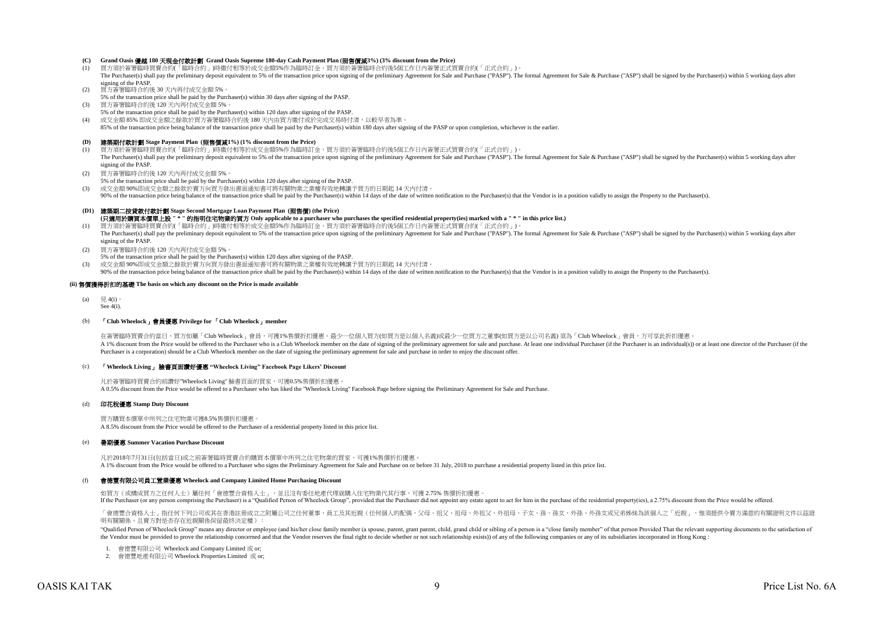# **(C) Grand Oasis** 優越 **180** 天現金付款計劃 **Grand Oasis Supreme 180-day Cash Payment Plan (**照售價減**3%) (3% discount from the Price)**

- 買方須於簽署臨時買賣合約(「臨時合約」)時繳付相等於成交金額5%作為臨時訂金。買方須於簽署臨時合約後5個工作日内簽署正式買賣合約(「正式合約」)。 The Purchaser(s) shall pay the preliminary deposit equivalent to 5% of the transaction price upon signing of the preliminary Agreement for Sale and Purchase ("PASP"). The formal Agreement for Sale & Purchase ("ASP") shall signing of the PASP.
- (2) 買方簽署臨時合約後 30 天內再付成交金額 5%。
- 5% of the transaction price shall be paid by the Purchaser(s) within 30 days after signing of the PASP.
- (3) 買方簽署臨時合約後 120 天內再付成交金額 5%。 5% of the transaction price shall be paid by the Purchaser(s) within 120 days after signing of the PASP.
- (4) 成交金額 85% 即成交金額之餘款於買方簽署臨時合約後 180 天內由買方繳付或於完成交易時付清,以較早者為準。
- 85% of the transaction price being balance of the transaction price shall be paid by the Purchaser(s) within 180 days after signing of the PASP or upon completion, whichever is the earlier.

#### **(D)** 建築期付款計劃 **Stage Payment Plan (**照售價減**1%) (1% discount from the Price)**

- (1) 買方須於簽署臨時買賣合約(「臨時合約」)時繳付相等於成交金額5%作為臨時訂金。買方須於簽署臨時合約後5個工作日內簽署正式買賣合約(「正式合約」)。 The Purchaser(s) shall pay the preliminary deposit equivalent to 5% of the transaction price upon signing of the preliminary Agreement for Sale and Purchase ("PASP"). The formal Agreement for Sale & Purchase ("ASP") shall signing of the PASP.
- (2) 買方簽署臨時合約後 120 天內再付成交金額 5%。
- 5% of the transaction price shall be paid by the Purchaser(s) within 120 days after signing of the PASP.
- (3) 成交金額 90%即成交金額之餘款於賣方向買方發出書面通知書可將有關物業之業權有效地轉讓予買方的日期起 14 天內付清。
- 90% of the transaction price being balance of the transaction price shall be paid by the Purchaser(s) within 14 days of the date of written notification to the Purchaser(s) that the Vendor is in a position validly to assig

#### **(D1)** 建築期二按貸款付款計劃 **Stage Second Mortgage Loan Payment Plan (**照售價**) (the Price) (**只適用於購買本價單上設 **" \* "** 的指明住宅物業的買方 **Only applicable to a purchaser who purchases the specified residential property(ies) marked with a " \* " in this price list.)**

- (1) 買方須於簽署臨時買賣合約(「臨時合約」)時繳付相等於成交金額5%作為臨時訂金。買方須於簽署臨時合約後5個工作日內簽署正式買賣合約(「正式合約」)。 The Purchaser(s) shall pay the preliminary deposit equivalent to 5% of the transaction price upon signing of the preliminary Agreement for Sale and Purchase ("PASP"). The formal Agreement for Sale & Purchase ("ASP") shall signing of the PASP.
- (2) 買方簽署臨時合約後 120 天內再付成交金額 5%。
- 5% of the transaction price shall be paid by the Purchaser(s) within 120 days after signing of the PASP.
- (3) 成交金額 90%即成交金額之餘款於賣方向買方發出書面通知書可將有關物業之業權有效地轉讓予買方的日期起 14 天內付清。

90% of the transaction price being balance of the transaction price shall be paid by the Purchaser(s) within 14 days of the date of written notification to the Purchaser(s) that the Vendor is in a position validly to assig

#### **(ii)** 售價獲得折扣的基礎 **The basis on which any discount on the Price is made available**

- (a)  $\boxplus$  4(i)
- See 4(i).

#### (b) 「**Club Wheelock**」會員優惠 **Privilege for** 「**Club Wheelock**」**member**

在簽署臨時買賣合約當日,買方如屬「Club Wheelock」會員,可獲1%售價折扣優惠。最少一位個人買方(如買方是以個人名義)或最少一位買方之董事(如買方是以公司名義) 須為「Club Wheelock」會員,方可享此折扣優惠 A 1% discount from the Price would be offered to the Purchaser who is a Club Wheelock member on the date of signing of the preliminary agreement for sale and purchase. At least one individual Purchaser (if the Purchaser is Purchaser is a corporation) should be a Club Wheelock member on the date of signing the preliminary agreement for sale and purchase in order to enjoy the discount offer.

#### (c) 「**Wheelock Living**」 臉書頁面讚好優惠 **"Wheelock Living" Facebook Page Likers' Discount**

凡於簽署臨時買賣合約前讚好"Wheelock Living" 臉書頁面的買家,可獲0.5%售價折扣優惠。 A 0.5% discount from the Price would be offered to a Purchaser who has liked the "Wheelock Living" Facebook Page before signing the Preliminary Agreement for Sale and Purchase.

#### (d) 印花稅優惠 **Stamp Duty Discount**

買方購買本價單中所列之住宅物業可獲8.5%售價折扣優惠。 A 8.5% discount from the Price would be offered to the Purchaser of a residential property listed in this price list.

#### (e) 暑期優惠 **Summer Vacation Purchase Discount**

凡於2018年7月31日(包括當日)或之前簽署臨時買賣合約購買本價單中所列之住宅物業的買家,可獲1%售價折扣優惠。 A 1% discount from the Price would be offered to a Purchaser who signs the Preliminary Agreement for Sale and Purchase on or before 31 July, 2018 to purchase a residential property listed in this price list.

#### $(f)$ 會德豐有限公司員工置業優惠 **Wheelock and Company Limited Home Purchasing Discount**

如買方(或構成買方之任何人士)屬任何「會德豐合資格人士」,並且沒有委任地產代理就購入住宅物業代其行事,可獲 2.75% 售價折扣優惠。 If the Purchaser (or any person comprising the Purchaser) is a "Qualified Person of Wheelock Group", provided that the Purchaser did not appoint any estate agent to act for him in the purchase of the residential property(i

「會德豐合資格人士」指任何下列公司或其在香港註冊成立之附屬公司之任何董事、員工及其近親(任何個人的配偶、父母、祖父、祖母、外祖父、外祖母、子女、孫、孫女、外孫、外孫女或兄弟姊妹為該個人之「近親」,惟須提供令賣方滿意的有關證明文件以茲證 明有關關係,且賣方對是否存在近親關係保留最終決定權):

"Oualified Person of Wheelock Group" means any director or employee (and his/her close family member (a spouse, parent, grant parent, child, grand child or sibling of a person is a "close family member" of that person Froy the Vendor must be provided to prove the relationship concerned and that the Vendor reserves the final right to decide whether or not such relationship exists)) of any of the following companies or any of its subsidiaries

1. 會德豐有限公司 Wheelock and Company Limited 或 or;

2. 會德豐地產有限公司 Wheelock Properties Limited 或 or;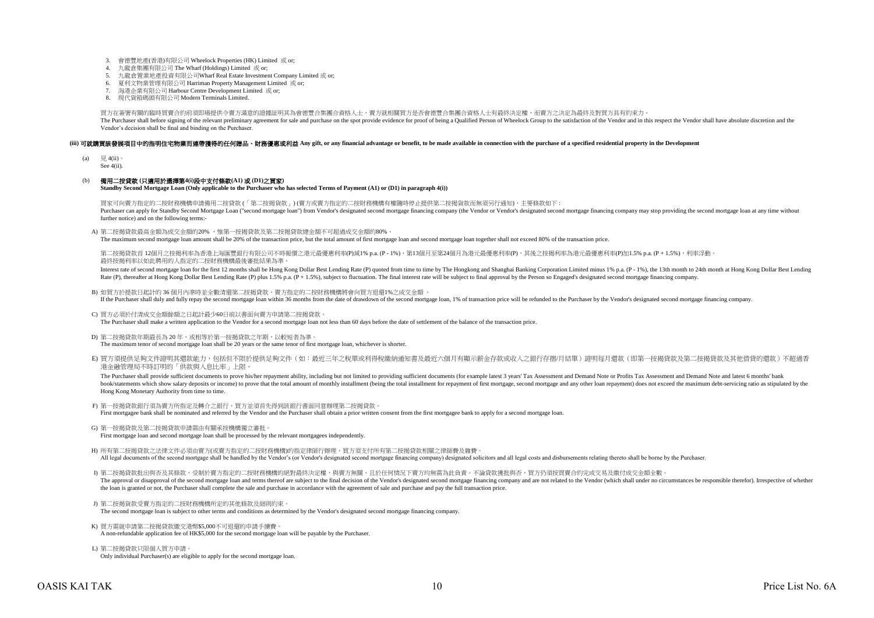- 3. 會德豐地產(香港)有限公司 Wheelock Properties (HK) Limited 或 or;
- 4. 九龍倉集團有限公司 The Wharf (Holdings) Limited 或 or;
- 5. 九龍倉置業地產投資有限公司Wharf Real Estate Investment Company Limited 或 or;
- 6. 夏利文物業管理有限公司 Harriman Property Management Limited 或 or;
- 7. 海港企業有限公司 Harbour Centre Development Limited 或 or;
- 8. 現代貨箱碼頭有限公司 Modern Terminals Limited.

買方在簽署有關的臨時買賣合約前須即場提供令賣方滿意的證據証明其為會德豐合集團合資格人士,賣方就相關買方是否會德豐合集團合資格人士有最終決定權,而賣方之決定為最終及對買方具有約束力。 The Purchaser shall before signing of the relevant preliminary agreement for sale and purchase on the spot provide evidence for proof of being a Qualified Person of Wheelock Group to the satisfaction of the Vendor and in t Vendor's decision shall be final and binding on the Purchaser.

### (iii) 可就識買該發展項目中的指明住宅物業而連帶獲得的任何贈品、財務優惠或利益 Any gift, or any financial advantage or benefit, to be made available in connection with the purchase of a specified residential property in the Development

- (a)  $\boxplus$  4(ii)
- See 4(ii).

## (b) 備用二按貸款 **(**只適用於選擇第**4(i)**段中支付條款**(A1)** 或 **(D1)**之買家**)**

**Standby Second Mortgage Loan (Only applicable to the Purchaser who has selected Terms of Payment (A1) or (D1) in paragraph 4(i))**

買家可向賣方指定的二按財務機構申請備用二按貸款 (「第二按揭貨款」) (賣方或賣方指定的二按財務機構有權隨時停止提供第二按揭貨款而無須另行通知),主要條款如下 : Purchaser can apply for Standby Second Mottgage Loan ("second mottgage loan") from Vendor's designated second mottgage financing company (the Vendor or Vendor's designated second mortgage francing company may stop providin further notice) and on the following terms:-

A) 第二按揭貸款最高金額為成交金額的20% ,惟第一按揭貸款及第二按揭貸款總金額不可超過成交金額的80%。

The maximum second mortgage loan amount shall be 20% of the transaction price, but the total amount of first mortgage loan and second mortgage loan together shall not exceed 80% of the transaction price.

第二按揭貸款首 12個月之按揭利率為香港上海匯豐銀行有限公司不時報價之港元最優惠利率(P)減1% p.a. (P - 1%),第13個月至第24個月為港元最優惠利率(P),其後之按揭利率為港元最優惠利率(P)加1.5% p.a. (P + 1.5%),利率浮動。 最終按揭利率以如此聘用的人指定的二按財務機構最後審批結果為準。

Interest rate of second mortgage loan for the first 12 months shall be Hong Kong Dollar Best Lending Rate (P) quoted from time to time by The Hongkong and Shanghai Banking Corporation Limited minus 1% p.a. (P - 1%), the 13 Rate (P), thereafter at Hong Kong Dollar Best Lending Rate (P) plus 1.5% p.a. (P + 1.5%), subject to fluctuation. The final interest rate will be subject to final approval by the Person so Engaged's designated second mortg

- B) 如買方於提款日起計的 36 個月內準時並全數清還第二按揭貸款,賣方指定的二按財務機構將會向買方退還1%之成交金額 。 If the Purchaser shall duly and fully repay the second mortgage loan within 36 months from the date of drawdown of the second mortgage loan, 1% of transaction price will be refunded to the Purchaser by the Vendor's designa
- C) 買方必須於付清成交金額餘額之日起計最少60日前以書面向賣方申請第二按揭貸款。  $\sum_{i=1}^{n}$  Purchaser shall make a written application to the Vendor for a second mortgage loan not less than 60 days before the date of settlement of the balance of the transaction price.
- D) 第二按揭貸款年期最長為 20 年,或相等於第一按揭貸款之年期,以較短者為準。 The maximum tenor of second mortgage loan shall be 20 years or the same tenor of first mortgage loan, whichever is shorter.
- E) 買方須提供足夠文件證明其還款能力,包括但不限於提供足夠文件(如:最近三年之稅單或利得稅繳納通知書及最近六個月有顯示薪金存款或收入之銀行存摺/月結單)證明每月還款(即第一按揭貸款及第二按揭貸款及其他借貸的還款)不超過香 港金融管理局不時訂明的「供款與入息比率」上限。

The Purchaser shall provide sufficient documents to prove his/her repayment ability, including but not limited to providing sufficient documents (for example latest 3 years' Tax Assessment and Demand Note or Profits Tax As book/statements which show salary deposits or income) to prove that the total amount of monthly installment (being the total installment for repayment of first mortgage, second mortgage and any other loan repayment of does Hong Kong Monetary Authority from time to time.

- F) 第一按揭貸款銀行須為賣方所指定及轉介之銀行,買方並須首先得到該銀行書面同意辦理第二按揭貸款。 First mortgagee bank shall be nominated and referred by the Vendor and the Purchaser shall obtain a prior written consent from the first mortgagee bank to apply for a second mortgage loan.
- G) 第一按揭貸款及第二按揭貸款申請需由有關承按機構獨立審批。 First mortgage loan and second mortgage loan shall be processed by the relevant mortgagees independently.
- H) 所有第二按揭貸款之法律文件必須由賣方(或賣方指定的二按財務機構)的指定律師行辦理,買方須支付所有第二按揭貸款相關之律師費及雜費。 All legal documents of the second mortgage shall be handled by the Vendor's (or Vendor's designated second mortgage financing company) designated solicitors and all legal costs and disbursements relating thereto shall be b

I) 第二按揭貸款批出與否及其條款,受制於賣方指定的二按財務機構的絕對最終決定權,與賣方無關,且於任何情況下賣方均無需為此負責。不論貸款獲批與否,買方仍須按買賣合約完成交易及繳付成交金額全數。 The approval or disapproval of the second mortgage loan and terms thereof are subject to the final decision of the Vendor's designated second mortgage financing company and are not related to the Vendor (which shall under the loan is granted or not, the Purchaser shall complete the sale and purchase in accordance with the agreement of sale and purchase and pay the full transaction price.

- J) 第二按揭貨款受賣方指定的二按財務機構所定的其他條款及細則約束。 The second mortgage loan is subject to other terms and conditions as determined by the Vendor's designated second mortgage financing company.
- K) 買方需就申請第二按揭貸款繳交港幣\$5,000不可退還的申請手續費。 A non-refundable application fee of HK\$5,000 for the second mortgage loan will be payable by the Purchaser.
- L) 第二按揭貸款只限個人買方申請。 Only individual Purchaser(s) are eligible to apply for the second mortgage loan.